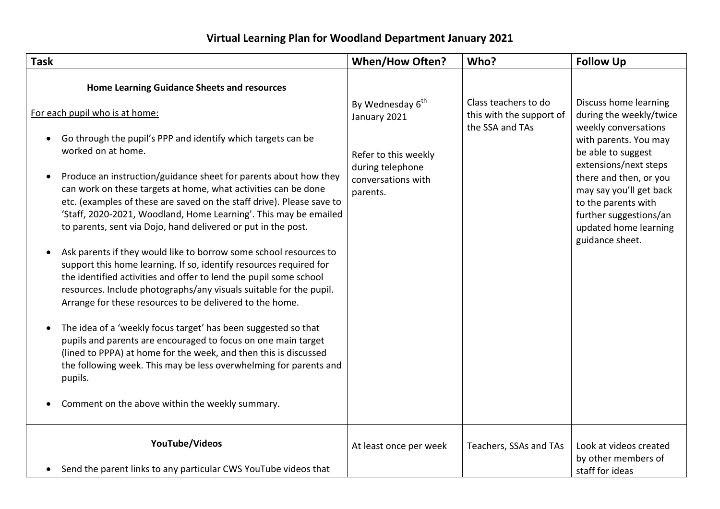## **Virtual Learning Plan for Woodland Department January 2021**

| <b>Home Learning Guidance Sheets and resources</b><br>Discuss home learning<br>Class teachers to do<br>By Wednesday 6 <sup>th</sup><br>For each pupil who is at home:<br>this with the support of<br>January 2021<br>the SSA and TAs<br>weekly conversations<br>Go through the pupil's PPP and identify which targets can be<br>with parents. You may<br>worked on at home.<br>be able to suggest<br>Refer to this weekly<br>extensions/next steps<br>during telephone<br>Produce an instruction/guidance sheet for parents about how they<br>there and then, or you<br>conversations with<br>can work on these targets at home, what activities can be done<br>parents.<br>etc. (examples of these are saved on the staff drive). Please save to<br>to the parents with<br>'Staff, 2020-2021, Woodland, Home Learning'. This may be emailed<br>to parents, sent via Dojo, hand delivered or put in the post.<br>guidance sheet.<br>Ask parents if they would like to borrow some school resources to<br>support this home learning. If so, identify resources required for<br>the identified activities and offer to lend the pupil some school<br>resources. Include photographs/any visuals suitable for the pupil.<br>Arrange for these resources to be delivered to the home.<br>The idea of a 'weekly focus target' has been suggested so that<br>$\bullet$<br>pupils and parents are encouraged to focus on one main target<br>(lined to PPPA) at home for the week, and then this is discussed<br>the following week. This may be less overwhelming for parents and<br>pupils.<br>Comment on the above within the weekly summary. | <b>Task</b> | <b>When/How Often?</b> | Who? | <b>Follow Up</b>                                                                                      |
|-------------------------------------------------------------------------------------------------------------------------------------------------------------------------------------------------------------------------------------------------------------------------------------------------------------------------------------------------------------------------------------------------------------------------------------------------------------------------------------------------------------------------------------------------------------------------------------------------------------------------------------------------------------------------------------------------------------------------------------------------------------------------------------------------------------------------------------------------------------------------------------------------------------------------------------------------------------------------------------------------------------------------------------------------------------------------------------------------------------------------------------------------------------------------------------------------------------------------------------------------------------------------------------------------------------------------------------------------------------------------------------------------------------------------------------------------------------------------------------------------------------------------------------------------------------------------------------------------------------------------------------------|-------------|------------------------|------|-------------------------------------------------------------------------------------------------------|
|                                                                                                                                                                                                                                                                                                                                                                                                                                                                                                                                                                                                                                                                                                                                                                                                                                                                                                                                                                                                                                                                                                                                                                                                                                                                                                                                                                                                                                                                                                                                                                                                                                           |             |                        |      | during the weekly/twice<br>may say you'll get back<br>further suggestions/an<br>updated home learning |
|                                                                                                                                                                                                                                                                                                                                                                                                                                                                                                                                                                                                                                                                                                                                                                                                                                                                                                                                                                                                                                                                                                                                                                                                                                                                                                                                                                                                                                                                                                                                                                                                                                           |             |                        |      |                                                                                                       |
|                                                                                                                                                                                                                                                                                                                                                                                                                                                                                                                                                                                                                                                                                                                                                                                                                                                                                                                                                                                                                                                                                                                                                                                                                                                                                                                                                                                                                                                                                                                                                                                                                                           |             |                        |      |                                                                                                       |
| YouTube/Videos<br>Look at videos created<br>At least once per week<br>Teachers, SSAs and TAs<br>by other members of<br>• Send the parent links to any particular CWS YouTube videos that<br>staff for ideas                                                                                                                                                                                                                                                                                                                                                                                                                                                                                                                                                                                                                                                                                                                                                                                                                                                                                                                                                                                                                                                                                                                                                                                                                                                                                                                                                                                                                               |             |                        |      |                                                                                                       |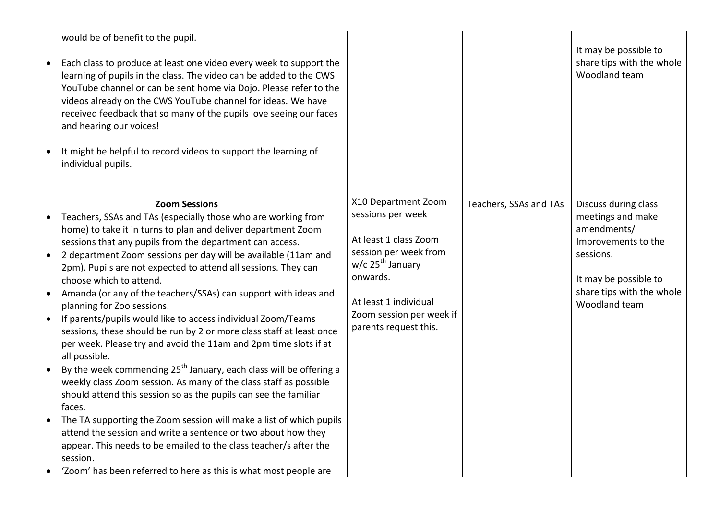| would be of benefit to the pupil.<br>Each class to produce at least one video every week to support the<br>$\bullet$<br>learning of pupils in the class. The video can be added to the CWS<br>YouTube channel or can be sent home via Dojo. Please refer to the<br>videos already on the CWS YouTube channel for ideas. We have<br>received feedback that so many of the pupils love seeing our faces<br>and hearing our voices!<br>It might be helpful to record videos to support the learning of<br>individual pupils.                                                                                                                                                                                                                                                                                                                                                                                                                                                                                                                                                                                                                                                                                                                                                                             |                                                                                                                                                                                                                      |                        | It may be possible to<br>share tips with the whole<br>Woodland team                                                                                                 |
|-------------------------------------------------------------------------------------------------------------------------------------------------------------------------------------------------------------------------------------------------------------------------------------------------------------------------------------------------------------------------------------------------------------------------------------------------------------------------------------------------------------------------------------------------------------------------------------------------------------------------------------------------------------------------------------------------------------------------------------------------------------------------------------------------------------------------------------------------------------------------------------------------------------------------------------------------------------------------------------------------------------------------------------------------------------------------------------------------------------------------------------------------------------------------------------------------------------------------------------------------------------------------------------------------------|----------------------------------------------------------------------------------------------------------------------------------------------------------------------------------------------------------------------|------------------------|---------------------------------------------------------------------------------------------------------------------------------------------------------------------|
| <b>Zoom Sessions</b><br>Teachers, SSAs and TAs (especially those who are working from<br>home) to take it in turns to plan and deliver department Zoom<br>sessions that any pupils from the department can access.<br>2 department Zoom sessions per day will be available (11am and<br>$\bullet$<br>2pm). Pupils are not expected to attend all sessions. They can<br>choose which to attend.<br>Amanda (or any of the teachers/SSAs) can support with ideas and<br>$\bullet$<br>planning for Zoo sessions.<br>If parents/pupils would like to access individual Zoom/Teams<br>sessions, these should be run by 2 or more class staff at least once<br>per week. Please try and avoid the 11am and 2pm time slots if at<br>all possible.<br>By the week commencing 25 <sup>th</sup> January, each class will be offering a<br>$\bullet$<br>weekly class Zoom session. As many of the class staff as possible<br>should attend this session so as the pupils can see the familiar<br>faces.<br>The TA supporting the Zoom session will make a list of which pupils<br>$\bullet$<br>attend the session and write a sentence or two about how they<br>appear. This needs to be emailed to the class teacher/s after the<br>session.<br>'Zoom' has been referred to here as this is what most people are | X10 Department Zoom<br>sessions per week<br>At least 1 class Zoom<br>session per week from<br>w/c 25 <sup>th</sup> January<br>onwards.<br>At least 1 individual<br>Zoom session per week if<br>parents request this. | Teachers, SSAs and TAs | Discuss during class<br>meetings and make<br>amendments/<br>Improvements to the<br>sessions.<br>It may be possible to<br>share tips with the whole<br>Woodland team |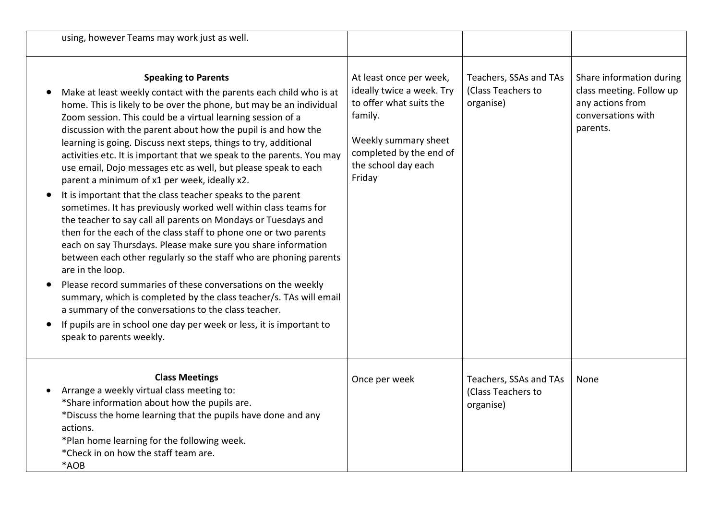| using, however Teams may work just as well.                                                                                                                                                                                                                                                                                                                                                                                                                                                                                                                                                                                                                                                                                                                                                                                                                                                                                                                                                                                                                                                                                                                                                                                                                                                                |                                                                                                                                                                                |                                                           |                                                                                                            |
|------------------------------------------------------------------------------------------------------------------------------------------------------------------------------------------------------------------------------------------------------------------------------------------------------------------------------------------------------------------------------------------------------------------------------------------------------------------------------------------------------------------------------------------------------------------------------------------------------------------------------------------------------------------------------------------------------------------------------------------------------------------------------------------------------------------------------------------------------------------------------------------------------------------------------------------------------------------------------------------------------------------------------------------------------------------------------------------------------------------------------------------------------------------------------------------------------------------------------------------------------------------------------------------------------------|--------------------------------------------------------------------------------------------------------------------------------------------------------------------------------|-----------------------------------------------------------|------------------------------------------------------------------------------------------------------------|
| <b>Speaking to Parents</b><br>Make at least weekly contact with the parents each child who is at<br>home. This is likely to be over the phone, but may be an individual<br>Zoom session. This could be a virtual learning session of a<br>discussion with the parent about how the pupil is and how the<br>learning is going. Discuss next steps, things to try, additional<br>activities etc. It is important that we speak to the parents. You may<br>use email, Dojo messages etc as well, but please speak to each<br>parent a minimum of x1 per week, ideally x2.<br>It is important that the class teacher speaks to the parent<br>sometimes. It has previously worked well within class teams for<br>the teacher to say call all parents on Mondays or Tuesdays and<br>then for the each of the class staff to phone one or two parents<br>each on say Thursdays. Please make sure you share information<br>between each other regularly so the staff who are phoning parents<br>are in the loop.<br>Please record summaries of these conversations on the weekly<br>summary, which is completed by the class teacher/s. TAs will email<br>a summary of the conversations to the class teacher.<br>If pupils are in school one day per week or less, it is important to<br>speak to parents weekly. | At least once per week,<br>ideally twice a week. Try<br>to offer what suits the<br>family.<br>Weekly summary sheet<br>completed by the end of<br>the school day each<br>Friday | Teachers, SSAs and TAs<br>(Class Teachers to<br>organise) | Share information during<br>class meeting. Follow up<br>any actions from<br>conversations with<br>parents. |
| <b>Class Meetings</b><br>Arrange a weekly virtual class meeting to:<br>*Share information about how the pupils are.<br>*Discuss the home learning that the pupils have done and any<br>actions.<br>*Plan home learning for the following week.<br>*Check in on how the staff team are.<br>*AOB                                                                                                                                                                                                                                                                                                                                                                                                                                                                                                                                                                                                                                                                                                                                                                                                                                                                                                                                                                                                             | Once per week                                                                                                                                                                  | Teachers, SSAs and TAs<br>(Class Teachers to<br>organise) | None                                                                                                       |